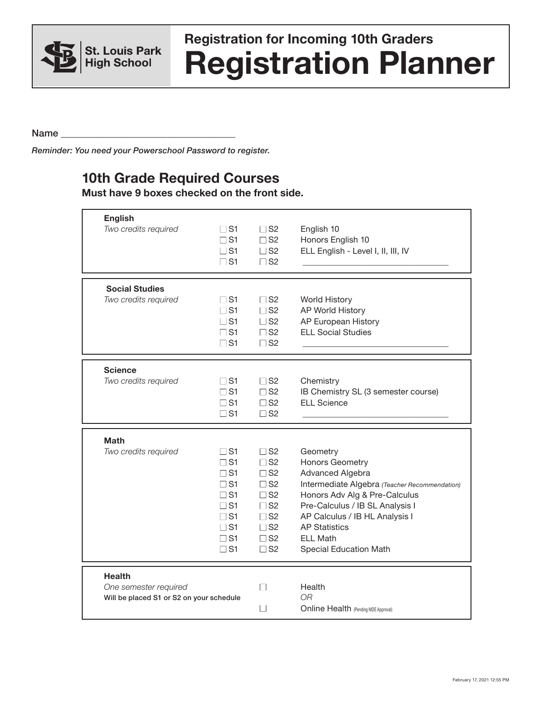

## **Registration Planner Registration for Incoming 10th Graders**

Name  $\Box$ 

*Reminder: You need your Powerschool Password to register.*

## **10th Grade Required Courses**

**Must have 9 boxes checked on the front side.**

| <b>English</b><br>Two credits required                                             | $\square$ S1<br>$\Gamma$ S1<br>$\square$ S1<br>$\square$ S1                                                                         | $\Box$ S2<br>$\Box$ S2<br>$\square$ S2<br>$\Box$ S2                                                                                           | English 10<br>Honors English 10<br>ELL English - Level I, II, III, IV                                                                                                                                                                                                                            |
|------------------------------------------------------------------------------------|-------------------------------------------------------------------------------------------------------------------------------------|-----------------------------------------------------------------------------------------------------------------------------------------------|--------------------------------------------------------------------------------------------------------------------------------------------------------------------------------------------------------------------------------------------------------------------------------------------------|
| <b>Social Studies</b><br>Two credits required                                      | $\square$ S1<br>$\square$ S1<br>$\square$ S1<br>$\square$ S1<br>$\square$ S1                                                        | $\square$ S2<br>$\Box$ S2<br>$\Box$ S2<br>$\square$ S2<br>$\square$ S2                                                                        | <b>World History</b><br>AP World History<br>AP European History<br><b>ELL Social Studies</b>                                                                                                                                                                                                     |
| <b>Science</b><br>Two credits required                                             | $\square$ S1<br>$\square$ S1<br>$\Gamma$ S1<br>$\square$ S1                                                                         | $\square$ S2<br>$\square$ S2<br>$\Box$ S2<br>$\Box$ S2                                                                                        | Chemistry<br>IB Chemistry SL (3 semester course)<br><b>ELL Science</b>                                                                                                                                                                                                                           |
| Math<br>Two credits required                                                       | $\sqcup$ S1<br>$\Box$ S1<br>$\Box$ S1<br>$\Box$ S1<br>$\Box$ S1<br>$\Box$ S1<br>$\Box$ S1<br>$\square$ S1<br>$\Box$ S1<br>$\Box$ S1 | $\Box$ S2<br>$\square$ S2<br>$\square$ S2<br>$\Box$ S2<br>$\square$ S2<br>$\Box$ S2<br>$\Box$ S2<br>$\square$ S2<br>$\square$ S2<br>$\Box$ S2 | Geometry<br><b>Honors Geometry</b><br><b>Advanced Algebra</b><br>Intermediate Algebra (Teacher Recommendation)<br>Honors Adv Alg & Pre-Calculus<br>Pre-Calculus / IB SL Analysis I<br>AP Calculus / IB HL Analysis I<br><b>AP Statistics</b><br><b>ELL Math</b><br><b>Special Education Math</b> |
| <b>Health</b><br>One semester required<br>Will be placed S1 or S2 on your schedule |                                                                                                                                     | П<br>l.                                                                                                                                       | Health<br>OR.<br><b>Online Health (Pending MDE Approval)</b>                                                                                                                                                                                                                                     |